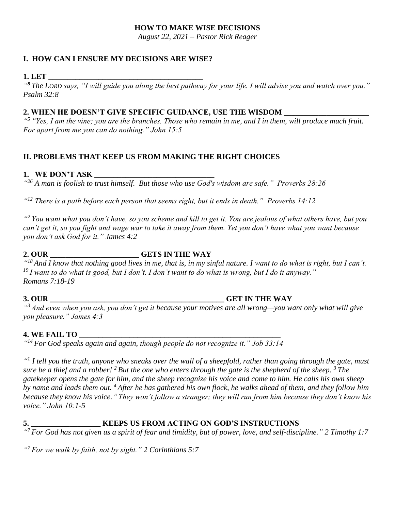#### **HOW TO MAKE WISE DECISIONS**

*August 22, 2021 – Pastor Rick Reager*

# **I. HOW CAN I ENSURE MY DECISIONS ARE WISE?**

#### **1. LET \_\_\_\_\_\_\_\_\_\_\_\_\_\_\_\_\_\_\_\_\_\_\_\_\_\_\_\_\_\_\_\_\_\_\_\_\_\_\_\_**

*" <sup>8</sup> The LORD says, "I will guide you along the best pathway for your life. I will advise you and watch over you." Psalm 32:8*

# **2. WHEN HE DOESN'T GIVE SPECIFIC GUIDANCE, USE THE WISDOM \_\_\_\_\_\_\_\_\_\_\_\_\_\_\_\_\_\_\_\_\_\_**

*" <sup>5</sup> "Yes, I am the vine; you are the branches. Those who remain in me, and I in them, will produce much fruit. For apart from me you can do nothing." John 15:5*

### **II. PROBLEMS THAT KEEP US FROM MAKING THE RIGHT CHOICES**

### **1. WE DON'T ASK**

*" <sup>26</sup> A man is foolish to trust himself. But those who use God's wisdom are safe." Proverbs 28:26*

*" <sup>12</sup> There is a path before each person that seems right, but it ends in death." Proverbs 14:12*

*" <sup>2</sup> You want what you don't have, so you scheme and kill to get it. You are jealous of what others have, but you can't get it, so you fight and wage war to take it away from them. Yet you don't have what you want because you don't ask God for it." James 4:2*

### **2. OUR \_\_\_\_\_\_\_\_\_\_\_\_\_\_\_\_\_\_\_\_\_\_\_ GETS IN THE WAY**

*" <sup>18</sup> And I know that nothing good lives in me, that is, in my sinful nature. I want to do what is right, but I can't. <sup>19</sup> I want to do what is good, but I don't. I don't want to do what is wrong, but I do it anyway." Romans 7:18-19*

**3. OUR \_\_\_\_\_\_\_\_\_\_\_\_\_\_\_\_\_\_\_\_\_\_\_\_\_\_\_\_\_\_\_\_\_\_\_\_\_\_\_\_\_\_\_\_\_ GET IN THE WAY**

*" <sup>3</sup> And even when you ask, you don't get it because your motives are all wrong—you want only what will give you pleasure." James 4:3*

# **4. WE FAIL TO \_\_\_\_\_\_\_\_\_\_\_\_\_\_\_\_\_\_\_\_\_\_\_\_\_\_\_\_\_\_\_\_\_\_\_\_\_\_\_\_\_\_\_\_\_\_\_\_\_\_\_\_**

*" <sup>14</sup> For God speaks again and again, though people do not recognize it." Job 33:14*

*" 1 I tell you the truth, anyone who sneaks over the wall of a sheepfold, rather than going through the gate, must sure be a thief and a robber! <sup>2</sup> But the one who enters through the gate is the shepherd of the sheep. <sup>3</sup> The gatekeeper opens the gate for him, and the sheep recognize his voice and come to him. He calls his own sheep by name and leads them out. <sup>4</sup> After he has gathered his own flock, he walks ahead of them, and they follow him because they know his voice. <sup>5</sup> They won't follow a stranger; they will run from him because they don't know his voice." John 10:1-5*

### **5. \_\_\_\_\_\_\_\_\_\_\_\_\_\_\_\_\_\_ KEEPS US FROM ACTING ON GOD'S INSTRUCTIONS**

*" <sup>7</sup> For God has not given us a spirit of fear and timidity, but of power, love, and self-discipline." 2 Timothy 1:7*

*" <sup>7</sup> For we walk by faith, not by sight." 2 Corinthians 5:7*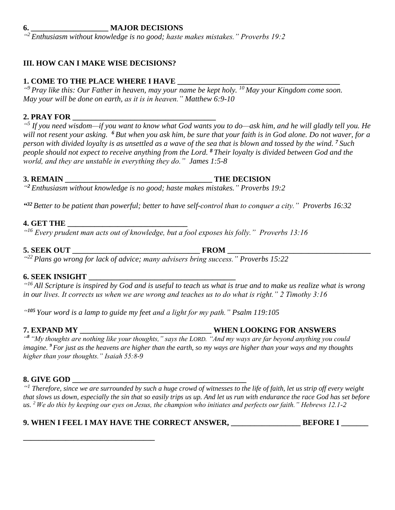#### **6. \_\_\_\_\_\_\_\_\_\_\_\_\_\_\_\_\_\_\_\_ MAJOR DECISIONS**

*" <sup>2</sup> Enthusiasm without knowledge is no good; haste makes mistakes." Proverbs 19:2*

### **III. HOW CAN I MAKE WISE DECISIONS?**

### **1. COME TO THE PLACE WHERE I HAVE \_\_\_\_\_\_\_\_\_\_\_\_\_\_\_\_\_\_\_\_\_\_\_\_\_\_\_\_\_\_\_\_\_\_\_\_\_\_\_\_\_\_**

*" <sup>9</sup> Pray like this: Our Father in heaven, may your name be kept holy. <sup>10</sup> May your Kingdom come soon. May your will be done on earth, as it is in heaven." Matthew 6:9-10*

### **2. PRAY FOR \_\_\_\_\_\_\_\_\_\_\_\_\_\_\_\_\_\_\_\_\_\_\_\_\_\_\_\_\_\_\_\_\_\_\_\_\_**

*" 5 If you need wisdom—if you want to know what God wants you to do—ask him, and he will gladly tell you. He will not resent your asking. <sup>6</sup> But when you ask him, be sure that your faith is in God alone. Do not waver, for a person with divided loyalty is as unsettled as a wave of the sea that is blown and tossed by the wind. <sup>7</sup> Such people should not expect to receive anything from the Lord. <sup>8</sup> Their loyalty is divided between God and the world, and they are unstable in everything they do." James 1:5-8*

#### **3. REMAIN \_\_\_\_\_\_\_\_\_\_\_\_\_\_\_\_\_\_\_\_\_\_\_\_\_\_\_\_\_\_\_\_\_\_\_\_\_\_ THE DECISION**

*" <sup>2</sup> Enthusiasm without knowledge is no good; haste makes mistakes." Proverbs 19:2*

*" <sup>32</sup> Better to be patient than powerful; better to have self-control than to conquer a city." Proverbs 16:32*

#### **4. GET THE \_\_\_\_\_\_\_\_\_\_\_\_\_\_\_\_\_\_\_\_\_\_\_\_\_\_\_\_\_\_\_**

*" <sup>16</sup> Every prudent man acts out of knowledge, but a fool exposes his folly." Proverbs 13:16*

# **5. SEEK OUT \_\_\_\_\_\_\_\_\_\_\_\_\_\_\_\_\_\_\_\_\_\_\_\_\_\_\_\_\_\_\_\_\_ FROM \_\_\_\_\_\_\_\_\_\_\_\_\_\_\_\_\_\_\_\_\_\_\_\_\_\_\_\_\_\_\_\_\_\_\_\_\_**

*" <sup>22</sup> Plans go wrong for lack of advice; many advisers bring success." Proverbs 15:22*

## **6. SEEK INSIGHT \_\_\_\_\_\_\_\_\_\_\_\_\_\_\_\_\_\_\_\_\_\_\_\_\_\_\_\_\_\_\_\_\_\_\_\_\_\_**

*" <sup>16</sup> All Scripture is inspired by God and is useful to teach us what is true and to make us realize what is wrong in our lives. It corrects us when we are wrong and teaches us to do what is right." 2 Timothy 3:16*

*" <sup>105</sup> Your word is a lamp to guide my feet and a light for my path." Psalm 119:105*

**7. EXPAND MY \_\_\_\_\_\_\_\_\_\_\_\_\_\_\_\_\_\_\_\_\_\_\_\_\_\_\_\_\_\_\_\_\_\_ WHEN LOOKING FOR ANSWERS** *" <sup>8</sup> "My thoughts are nothing like your thoughts," says the LORD. "And my ways are far beyond anything you could imagine. <sup>9</sup> For just as the heavens are higher than the earth, so my ways are higher than your ways and my thoughts higher than your thoughts." Isaiah 55:8-9*

### **8. GIVE GOD \_\_\_\_\_\_\_\_\_\_\_\_\_\_\_\_\_\_\_\_\_\_\_\_\_\_\_\_\_\_\_\_\_\_\_\_\_\_\_\_\_\_\_\_\_**

**\_\_\_\_\_\_\_\_\_\_\_\_\_\_\_\_\_\_\_\_\_\_\_\_\_\_\_\_\_\_\_\_\_\_**

*" <sup>1</sup> Therefore, since we are surrounded by such a huge crowd of witnesses to the life of faith, let us strip off every weight that slows us down, especially the sin that so easily trips us up. And let us run with endurance the race God has set before us. <sup>2</sup> We do this by keeping our eyes on Jesus, the champion who initiates and perfects our faith." Hebrews 12.1-2*

# **9. WHEN I FEEL I MAY HAVE THE CORRECT ANSWER, \_\_\_\_\_\_\_\_\_\_\_\_\_\_\_\_\_\_ BEFORE I \_\_\_\_\_\_\_**